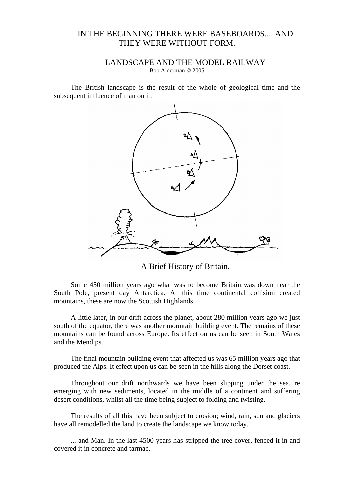## IN THE BEGINNING THERE WERE BASEBOARDS.... AND THEY WERE WITHOUT FORM.

## LANDSCAPE AND THE MODEL RAILWAY

Bob Alderman © 2005

The British landscape is the result of the whole of geological time and the subsequent influence of man on it.



A Brief History of Britain.

Some 450 million years ago what was to become Britain was down near the South Pole, present day Antarctica. At this time continental collision created mountains, these are now the Scottish Highlands.

A little later, in our drift across the planet, about 280 million years ago we just south of the equator, there was another mountain building event. The remains of these mountains can be found across Europe. Its effect on us can be seen in South Wales and the Mendips.

The final mountain building event that affected us was 65 million years ago that produced the Alps. It effect upon us can be seen in the hills along the Dorset coast.

Throughout our drift northwards we have been slipping under the sea, re emerging with new sediments, located in the middle of a continent and suffering desert conditions, whilst all the time being subject to folding and twisting.

The results of all this have been subject to erosion; wind, rain, sun and glaciers have all remodelled the land to create the landscape we know today.

... and Man. In the last 4500 years has stripped the tree cover, fenced it in and covered it in concrete and tarmac.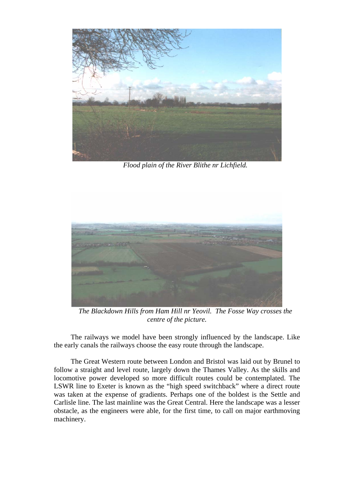

*Flood plain of the River Blithe nr Lichfield.* 



*The Blackdown Hills from Ham Hill nr Yeovil. The Fosse Way crosses the centre of the picture.* 

The railways we model have been strongly influenced by the landscape. Like the early canals the railways choose the easy route through the landscape.

The Great Western route between London and Bristol was laid out by Brunel to follow a straight and level route, largely down the Thames Valley. As the skills and locomotive power developed so more difficult routes could be contemplated. The LSWR line to Exeter is known as the "high speed switchback" where a direct route was taken at the expense of gradients. Perhaps one of the boldest is the Settle and Carlisle line. The last mainline was the Great Central. Here the landscape was a lesser obstacle, as the engineers were able, for the first time, to call on major earthmoving machinery.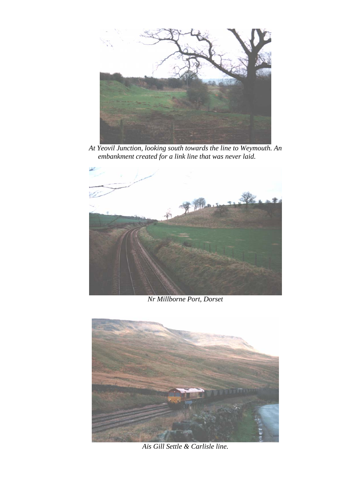

*At Yeovil Junction, looking south towards the line to Weymouth. An embankment created for a link line that was never laid.* 



*Nr Millborne Port, Dorset* 



*Ais Gill Settle & Carlisle line.*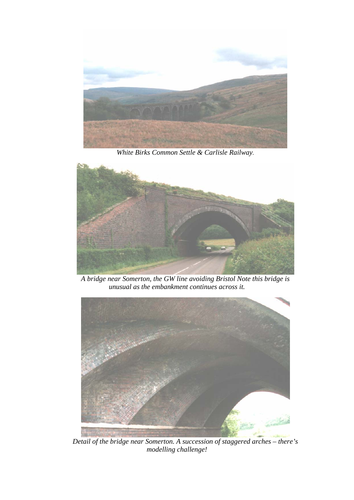

*White Birks Common Settle & Carlisle Railway.* 



*A bridge near Somerton, the GW line avoiding Bristol Note this bridge is unusual as the embankment continues across it.* 



*Detail of the bridge near Somerton. A succession of staggered arches – there's modelling challenge!*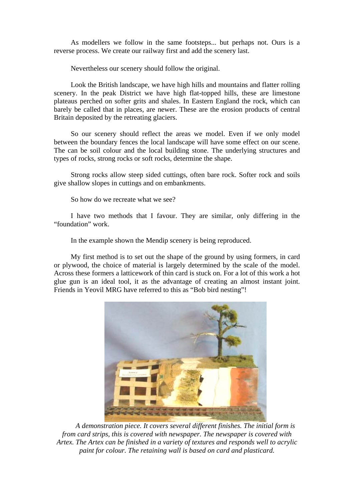As modellers we follow in the same footsteps... but perhaps not. Ours is a reverse process. We create our railway first and add the scenery last.

Nevertheless our scenery should follow the original.

Look the British landscape, we have high hills and mountains and flatter rolling scenery. In the peak District we have high flat-topped hills, these are limestone plateaus perched on softer grits and shales. In Eastern England the rock, which can barely be called that in places, are newer. These are the erosion products of central Britain deposited by the retreating glaciers.

So our scenery should reflect the areas we model. Even if we only model between the boundary fences the local landscape will have some effect on our scene. The can be soil colour and the local building stone. The underlying structures and types of rocks, strong rocks or soft rocks, determine the shape.

Strong rocks allow steep sided cuttings, often bare rock. Softer rock and soils give shallow slopes in cuttings and on embankments.

So how do we recreate what we see?

I have two methods that I favour. They are similar, only differing in the "foundation" work.

In the example shown the Mendip scenery is being reproduced.

My first method is to set out the shape of the ground by using formers, in card or plywood, the choice of material is largely determined by the scale of the model. Across these formers a latticework of thin card is stuck on. For a lot of this work a hot glue gun is an ideal tool, it as the advantage of creating an almost instant joint. Friends in Yeovil MRG have referred to this as "Bob bird nesting"!



*A demonstration piece. It covers several different finishes. The initial form is from card strips, this is covered with newspaper. The newspaper is covered with Artex. The Artex can be finished in a variety of textures and responds well to acrylic paint for colour. The retaining wall is based on card and plasticard.*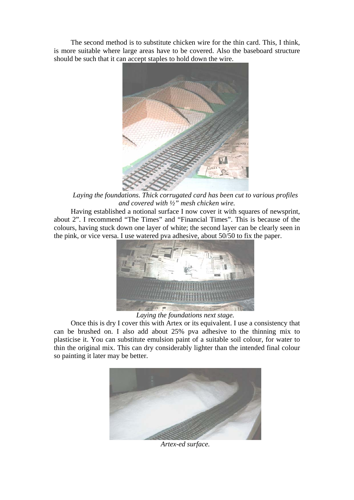The second method is to substitute chicken wire for the thin card. This, I think, is more suitable where large areas have to be covered. Also the baseboard structure should be such that it can accept staples to hold down the wire.



*Laying the foundations. Thick corrugated card has been cut to various profiles and covered with ½" mesh chicken wire.* 

Having established a notional surface I now cover it with squares of newsprint, about 2". I recommend "The Times" and "Financial Times". This is because of the colours, having stuck down one layer of white; the second layer can be clearly seen in the pink, or vice versa. I use watered pva adhesive, about 50/50 to fix the paper.



*Laying the foundations next stage.* 

Once this is dry I cover this with Artex or its equivalent. I use a consistency that can be brushed on. I also add about 25% pva adhesive to the thinning mix to plasticise it. You can substitute emulsion paint of a suitable soil colour, for water to thin the original mix. This can dry considerably lighter than the intended final colour so painting it later may be better.



*Artex-ed surface.*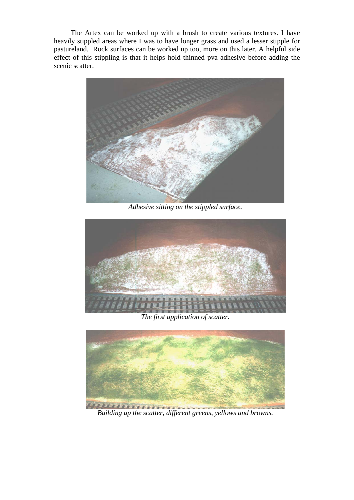The Artex can be worked up with a brush to create various textures. I have heavily stippled areas where I was to have longer grass and used a lesser stipple for pastureland. Rock surfaces can be worked up too, more on this later. A helpful side effect of this stippling is that it helps hold thinned pva adhesive before adding the scenic scatter.



*Adhesive sitting on the stippled surface.* 



*The first application of scatter.* 



*Building up the scatter, different greens, yellows and browns.*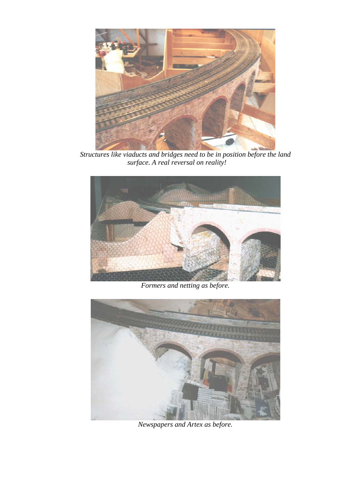

*Structures like viaducts and bridges need to be in position before the land surface. A real reversal on reality!* 



*Formers and netting as before.* 



*Newspapers and Artex as before.*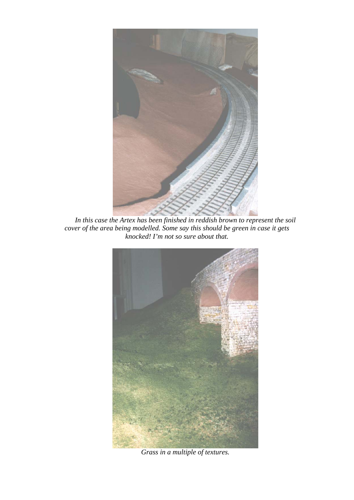

*In this case the Artex has been finished in reddish brown to represent the soil cover of the area being modelled. Some say this should be green in case it gets knocked! I'm not so sure about that.* 



*Grass in a multiple of textures.*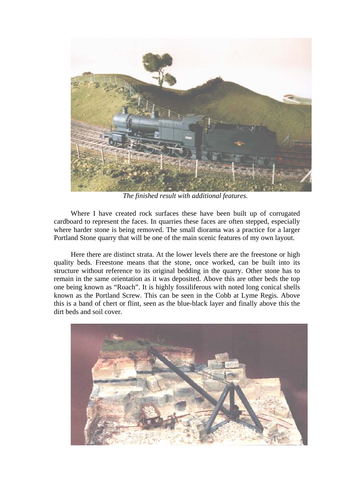

*The finished result with additional features.* 

Where I have created rock surfaces these have been built up of corrugated cardboard to represent the faces. In quarries these faces are often stepped, especially where harder stone is being removed. The small diorama was a practice for a larger Portland Stone quarry that will be one of the main scenic features of my own layout.

Here there are distinct strata. At the lower levels there are the freestone or high quality beds. Freestone means that the stone, once worked, can be built into its structure without reference to its original bedding in the quarry. Other stone has to remain in the same orientation as it was deposited. Above this are other beds the top one being known as "Roach". It is highly fossiliferous with noted long conical shells known as the Portland Screw. This can be seen in the Cobb at Lyme Regis. Above this is a band of chert or flint, seen as the blue-black layer and finally above this the dirt beds and soil cover.

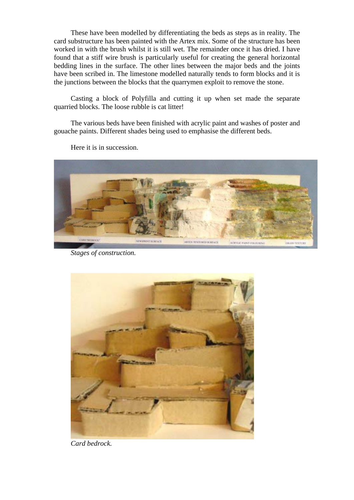These have been modelled by differentiating the beds as steps as in reality. The card substructure has been painted with the Artex mix. Some of the structure has been worked in with the brush whilst it is still wet. The remainder once it has dried. I have found that a stiff wire brush is particularly useful for creating the general horizontal bedding lines in the surface. The other lines between the major beds and the joints have been scribed in. The limestone modelled naturally tends to form blocks and it is the junctions between the blocks that the quarrymen exploit to remove the stone.

Casting a block of Polyfilla and cutting it up when set made the separate quarried blocks. The loose rubble is cat litter!

The various beds have been finished with acrylic paint and washes of poster and gouache paints. Different shades being used to emphasise the different beds.



Here it is in succession.

*Stages of construction.* 



*Card bedrock.*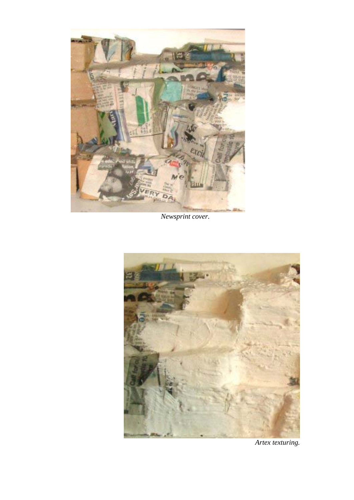

*Newsprint cover.* 



*Artex texturing.*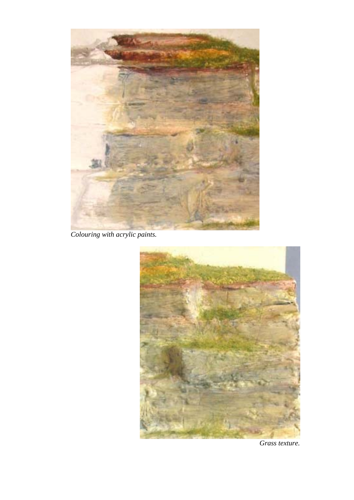

*Colouring with acrylic paints.* 



*Grass texture.*